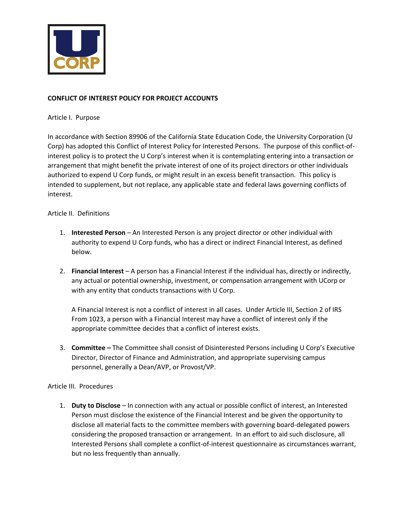

## **CONFLICT OF INTEREST POLICY FOR PROJECT ACCOUNTS**

Article I. Purpose

In accordance with Section 89906 of the California State Education Code, the University Corporation (U Corp) has adopted this Conflict of Interest Policy for Interested Persons. The purpose of this conflict-ofinterest policy is to protect the U Corp's interest when it is contemplating entering into a transaction or arrangement that might benefit the private interest of one of its project directors or other individuals authorized to expend U Corp funds, or might result in an excess benefit transaction. This policy is intended to supplement, but not replace, any applicable state and federal laws governing conflicts of interest.

## Article II. Definitions

- 1. **Interested Person** An Interested Person is any project director or other individual with authority to expend U Corp funds, who has a direct or indirect Financial Interest, as defined below.
- 2. **Financial Interest** A person has a Financial Interest if the individual has, directly or indirectly, any actual or potential ownership, investment, or compensation arrangement with UCorp or with any entity that conducts transactions with U Corp.

A Financial Interest is not a conflict of interest in all cases. Under Article III, Section 2 of IRS From 1023, a person with a Financial Interest may have a conflict of interest only if the appropriate committee decides that a conflict of interest exists.

3. **Committee –** The Committee shall consist of Disinterested Persons including U Corp's Executive Director, Director of Finance and Administration, and appropriate supervising campus personnel, generally a Dean/AVP, or Provost/VP.

## Article III. Procedures

1. **Duty to Disclose** – In connection with any actual or possible conflict of interest, an Interested Person must disclose the existence of the Financial Interest and be given the opportunity to disclose all material facts to the committee members with governing board-delegated powers considering the proposed transaction or arrangement. In an effort to aid such disclosure, all Interested Persons shall complete a conflict-of-interest questionnaire as circumstances warrant, but no less frequently than annually.